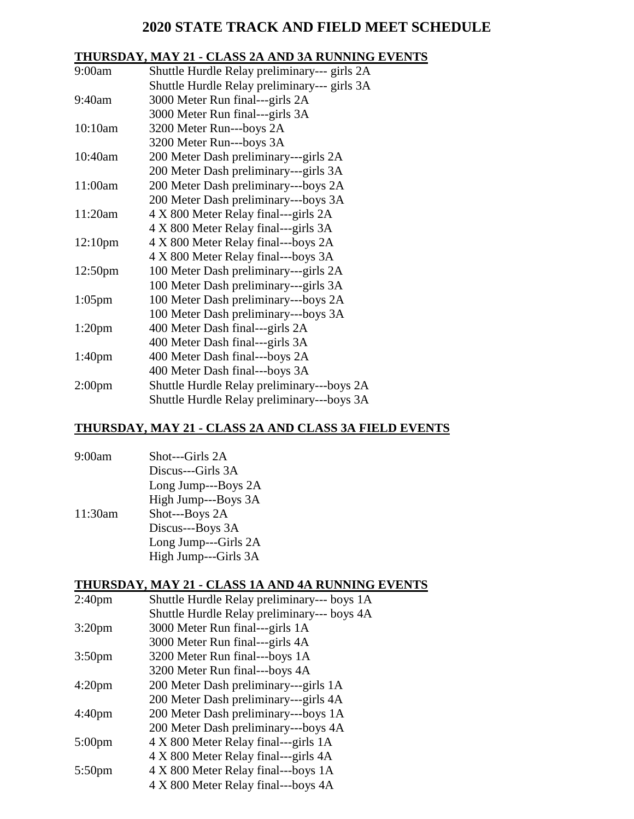# **2020 STATE TRACK AND FIELD MEET SCHEDULE**

# **THURSDAY, MAY 21 - CLASS 2A AND 3A RUNNING EVENTS**

| 9:00am              | Shuttle Hurdle Relay preliminary--- girls 2A |
|---------------------|----------------------------------------------|
|                     | Shuttle Hurdle Relay preliminary--- girls 3A |
| 9:40am              | 3000 Meter Run final---girls 2A              |
|                     | 3000 Meter Run final---girls 3A              |
| 10:10am             | 3200 Meter Run---boys 2A                     |
|                     | 3200 Meter Run---boys 3A                     |
| 10:40am             | 200 Meter Dash preliminary---girls 2A        |
|                     | 200 Meter Dash preliminary---girls 3A        |
| 11:00am             | 200 Meter Dash preliminary---boys 2A         |
|                     | 200 Meter Dash preliminary---boys 3A         |
| 11:20am             | 4 X 800 Meter Relay final—girls 2A           |
|                     | 4 X 800 Meter Relay final---girls 3A         |
| 12:10 <sub>pm</sub> | 4 X 800 Meter Relay final---boys 2A          |
|                     | 4 X 800 Meter Relay final---boys 3A          |
| 12:50 <sub>pm</sub> | 100 Meter Dash preliminary---girls 2A        |
|                     | 100 Meter Dash preliminary---girls 3A        |
| $1:05$ pm           | 100 Meter Dash preliminary---boys 2A         |
|                     | 100 Meter Dash preliminary---boys 3A         |
| $1:20$ pm           | 400 Meter Dash final---girls 2A              |
|                     | 400 Meter Dash final---girls 3A              |
| 1:40 <sub>pm</sub>  | 400 Meter Dash final---boys 2A               |
|                     | 400 Meter Dash final---boys 3A               |
| 2:00 <sub>pm</sub>  | Shuttle Hurdle Relay preliminary---boys 2A   |
|                     | Shuttle Hurdle Relay preliminary---boys 3A   |

# **THURSDAY, MAY 21 - CLASS 2A AND CLASS 3A FIELD EVENTS**

| 9:00am  | Shot---Girls 2A      |
|---------|----------------------|
|         | Discus---Girls 3A    |
|         | Long Jump---Boys 2A  |
|         | High Jump---Boys 3A  |
| 11:30am | Shot---Boys 2A       |
|         | Discus---Boys 3A     |
|         | Long Jump---Girls 2A |
|         | High Jump---Girls 3A |

## **THURSDAY, MAY 21 - CLASS 1A AND 4A RUNNING EVENTS**

| 2:40 <sub>pm</sub> | Shuttle Hurdle Relay preliminary--- boys 1A |
|--------------------|---------------------------------------------|
|                    | Shuttle Hurdle Relay preliminary--- boys 4A |
| 3:20 <sub>pm</sub> | 3000 Meter Run final---girls 1A             |
|                    | 3000 Meter Run final---girls 4A             |
| 3:50 <sub>pm</sub> | 3200 Meter Run final---boys 1A              |
|                    | 3200 Meter Run final---boys 4A              |
| 4:20pm             | 200 Meter Dash preliminary---girls 1A       |
|                    | 200 Meter Dash preliminary---girls 4A       |
| 4:40pm             | 200 Meter Dash preliminary---boys 1A        |
|                    | 200 Meter Dash preliminary---boys 4A        |
| $5:00 \text{pm}$   | 4 X 800 Meter Relay final—girls 1A          |
|                    | 4 X 800 Meter Relay final---girls 4A        |
| 5:50pm             | 4 X 800 Meter Relay final---boys 1A         |
|                    | 4 X 800 Meter Relay final---boys 4A         |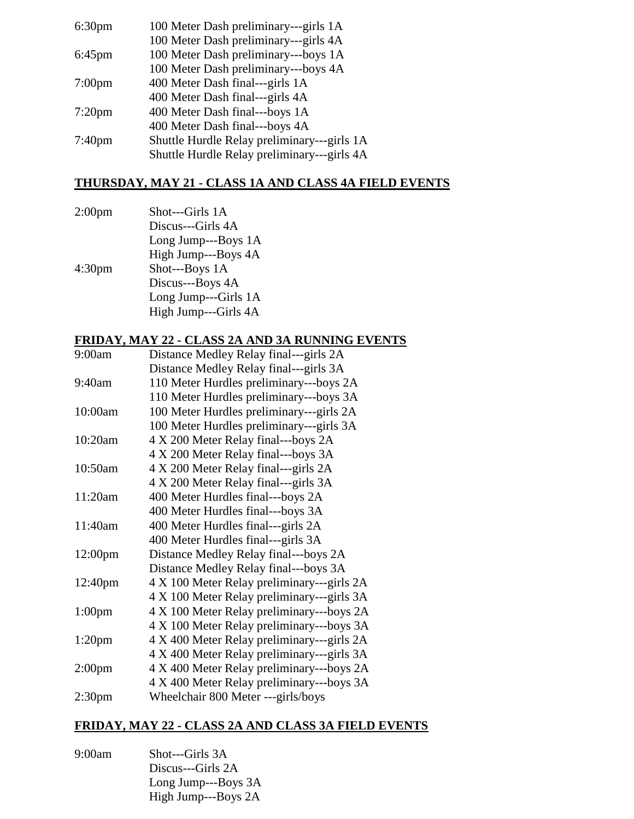| 6:30 <sub>pm</sub> | 100 Meter Dash preliminary---girls 1A       |
|--------------------|---------------------------------------------|
|                    | 100 Meter Dash preliminary---girls 4A       |
| $6:45$ pm          | 100 Meter Dash preliminary---boys 1A        |
|                    | 100 Meter Dash preliminary---boys 4A        |
| $7:00$ pm          | 400 Meter Dash final---girls 1A             |
|                    | 400 Meter Dash final---girls 4A             |
| $7:20$ pm          | 400 Meter Dash final---boys 1A              |
|                    | 400 Meter Dash final---boys 4A              |
| 7:40 <sub>pm</sub> | Shuttle Hurdle Relay preliminary---girls 1A |
|                    | Shuttle Hurdle Relay preliminary---girls 4A |
|                    |                                             |

## **THURSDAY, MAY 21 - CLASS 1A AND CLASS 4A FIELD EVENTS**

2:00pm Shot---Girls 1A Discus---Girls 4A Long Jump---Boys 1A High Jump---Boys 4A 4:30pm Shot---Boys 1A Discus---Boys 4A Long Jump---Girls 1A High Jump---Girls 4A

### **FRIDAY, MAY 22 - CLASS 2A AND 3A RUNNING EVENTS**

| 9:00am             | Distance Medley Relay final—girls 2A       |
|--------------------|--------------------------------------------|
|                    | Distance Medley Relay final---girls 3A     |
| 9:40am             | 110 Meter Hurdles preliminary---boys 2A    |
|                    | 110 Meter Hurdles preliminary---boys 3A    |
| 10:00am            | 100 Meter Hurdles preliminary---girls 2A   |
|                    | 100 Meter Hurdles preliminary---girls 3A   |
| 10:20am            | 4 X 200 Meter Relay final---boys 2A        |
|                    | 4 X 200 Meter Relay final---boys 3A        |
| 10:50am            | 4 X 200 Meter Relay final---girls 2A       |
|                    | 4 X 200 Meter Relay final---girls 3A       |
| 11:20am            | 400 Meter Hurdles final---boys 2A          |
|                    | 400 Meter Hurdles final---boys 3A          |
| 11:40am            | 400 Meter Hurdles final---girls 2A         |
|                    | 400 Meter Hurdles final---girls 3A         |
| 12:00pm            | Distance Medley Relay final---boys 2A      |
|                    | Distance Medley Relay final---boys 3A      |
| 12:40pm            | 4 X 100 Meter Relay preliminary---girls 2A |
|                    | 4 X 100 Meter Relay preliminary---girls 3A |
| $1:00$ pm          | 4 X 100 Meter Relay preliminary---boys 2A  |
|                    | 4 X 100 Meter Relay preliminary---boys 3A  |
| $1:20$ pm          | 4 X 400 Meter Relay preliminary---girls 2A |
|                    | 4 X 400 Meter Relay preliminary---girls 3A |
| 2:00 <sub>pm</sub> | 4 X 400 Meter Relay preliminary---boys 2A  |
|                    | 4 X 400 Meter Relay preliminary---boys 3A  |
| 2:30 <sub>pm</sub> | Wheelchair 800 Meter ---girls/boys         |

## **FRIDAY, MAY 22 - CLASS 2A AND CLASS 3A FIELD EVENTS**

| 9:00am | Shot---Girls 3A     |
|--------|---------------------|
|        | Discus---Girls 2A   |
|        | Long Jump---Boys 3A |
|        | High Jump---Boys 2A |
|        |                     |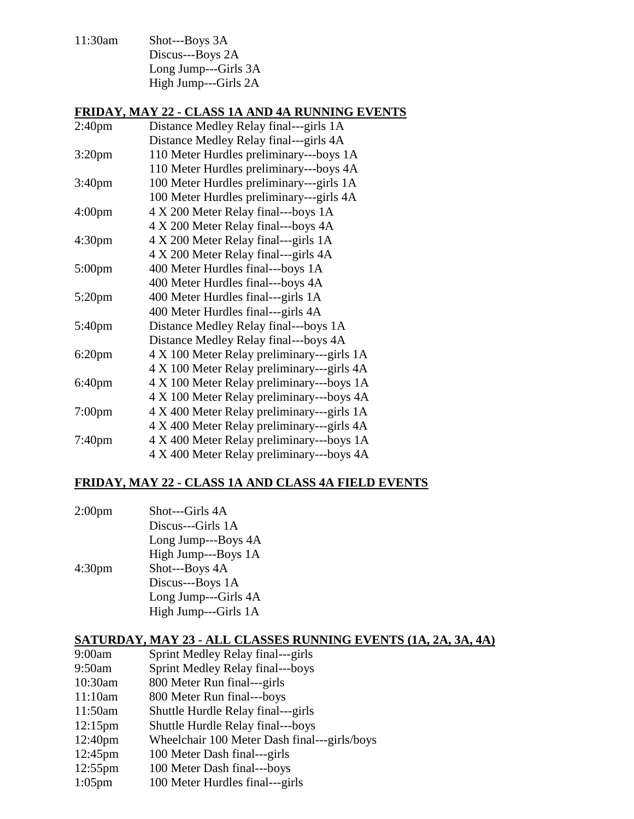11:30am Shot---Boys 3A Discus---Boys 2A Long Jump---Girls 3A High Jump---Girls 2A

### **FRIDAY, MAY 22 - CLASS 1A AND 4A RUNNING EVENTS**

| 2:40 <sub>pm</sub> | Distance Medley Relay final---girls 1A     |
|--------------------|--------------------------------------------|
|                    | Distance Medley Relay final—-girls 4A      |
| 3:20 <sub>pm</sub> | 110 Meter Hurdles preliminary---boys 1A    |
|                    | 110 Meter Hurdles preliminary---boys 4A    |
| 3:40 <sub>pm</sub> | 100 Meter Hurdles preliminary---girls 1A   |
|                    | 100 Meter Hurdles preliminary---girls 4A   |
| 4:00 <sub>pm</sub> | 4 X 200 Meter Relay final---boys 1A        |
|                    | 4 X 200 Meter Relay final---boys 4A        |
| 4:30 <sub>pm</sub> | 4 X 200 Meter Relay final—girls 1A         |
|                    | 4 X 200 Meter Relay final—girls 4A         |
| $5:00$ pm          | 400 Meter Hurdles final---boys 1A          |
|                    | 400 Meter Hurdles final---boys 4A          |
| $5:20$ pm          | 400 Meter Hurdles final---girls 1A         |
|                    | 400 Meter Hurdles final---girls 4A         |
| 5:40pm             | Distance Medley Relay final---boys 1A      |
|                    | Distance Medley Relay final---boys 4A      |
| $6:20$ pm          | 4 X 100 Meter Relay preliminary---girls 1A |
|                    | 4 X 100 Meter Relay preliminary---girls 4A |
| 6:40pm             | 4 X 100 Meter Relay preliminary---boys 1A  |
|                    | 4 X 100 Meter Relay preliminary---boys 4A  |
| 7:00 <sub>pm</sub> | 4 X 400 Meter Relay preliminary---girls 1A |
|                    | 4 X 400 Meter Relay preliminary---girls 4A |
| $7:40$ pm          | 4 X 400 Meter Relay preliminary---boys 1A  |
|                    | 4 X 400 Meter Relay preliminary---boys 4A  |

## **FRIDAY, MAY 22 - CLASS 1A AND CLASS 4A FIELD EVENTS**

2:00pm Shot---Girls 4A Discus---Girls 1A Long Jump---Boys 4A High Jump---Boys 1A 4:30pm Shot---Boys 4A Discus---Boys 1A Long Jump---Girls 4A High Jump---Girls 1A

### **SATURDAY, MAY 23 - ALL CLASSES RUNNING EVENTS (1A, 2A, 3A, 4A)**

| 9:00am              | Sprint Medley Relay final—girls              |
|---------------------|----------------------------------------------|
| 9:50am              | Sprint Medley Relay final---boys             |
| 10:30am             | 800 Meter Run final---girls                  |
| 11:10am             | 800 Meter Run final---boys                   |
| 11:50am             | Shuttle Hurdle Relay final—girls             |
| $12:15 \text{pm}$   | Shuttle Hurdle Relay final---boys            |
| 12:40 <sub>pm</sub> | Wheelchair 100 Meter Dash final---girls/boys |
| $12:45 \text{pm}$   | 100 Meter Dash final---girls                 |
| $10.55$ m           | $100$ Matan Dach final have                  |

- 12:55pm 100 Meter Dash final---boys
- 1:05pm 100 Meter Hurdles final---girls